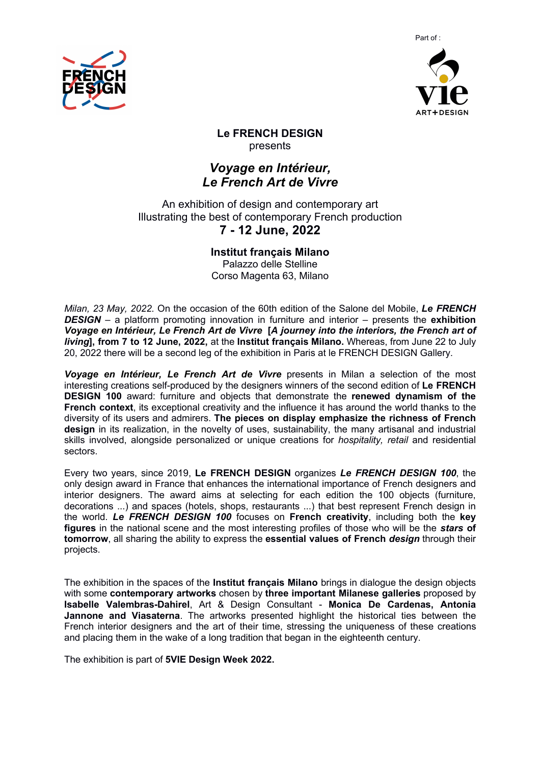



**Le FRENCH DESIGN**  presents

# *Voyage en Intérieur, Le French Art de Vivre*

An exhibition of design and contemporary art Illustrating the best of contemporary French production

## **7 - 12 June, 2022**

**Institut français Milano**

Palazzo delle Stelline Corso Magenta 63, Milano

*Milan, 23 May, 2022.* On the occasion of the 60th edition of the Salone del Mobile, *Le FRENCH DESIGN* – a platform promoting innovation in furniture and interior – presents the **exhibition**  *Voyage en Intérieur, Le French Art de Vivre* **[***A journey into the interiors, the French art of living***], from 7 to 12 June, 2022,** at the **Institut français Milano.** Whereas, from June 22 to July 20, 2022 there will be a second leg of the exhibition in Paris at le FRENCH DESIGN Gallery.

*Voyage en Intérieur, Le French Art de Vivre* presents in Milan a selection of the most interesting creations self-produced by the designers winners of the second edition of **Le FRENCH DESIGN 100** award: furniture and objects that demonstrate the **renewed dynamism of the French context**, its exceptional creativity and the influence it has around the world thanks to the diversity of its users and admirers. **The pieces on display emphasize the richness of French design** in its realization, in the novelty of uses, sustainability, the many artisanal and industrial skills involved, alongside personalized or unique creations for *hospitality, retail* and residential sectors.

Every two years, since 2019, **Le FRENCH DESIGN** organizes *Le FRENCH DESIGN 100*, the only design award in France that enhances the international importance of French designers and interior designers. The award aims at selecting for each edition the 100 objects (furniture, decorations ...) and spaces (hotels, shops, restaurants ...) that best represent French design in the world. *Le FRENCH DESIGN 100* focuses on **French creativity**, including both the **key figures** in the national scene and the most interesting profiles of those who will be the *stars* **of tomorrow**, all sharing the ability to express the **essential values of French** *design* through their projects.

The exhibition in the spaces of the **Institut français Milano** brings in dialogue the design objects with some **contemporary artworks** chosen by **three important Milanese galleries** proposed by **Isabelle Valembras-Dahirel**, Art & Design Consultant - **Monica De Cardenas, Antonia Jannone and Viasaterna**. The artworks presented highlight the historical ties between the French interior designers and the art of their time, stressing the uniqueness of these creations and placing them in the wake of a long tradition that began in the eighteenth century.

The exhibition is part of **5VIE Design Week 2022.**